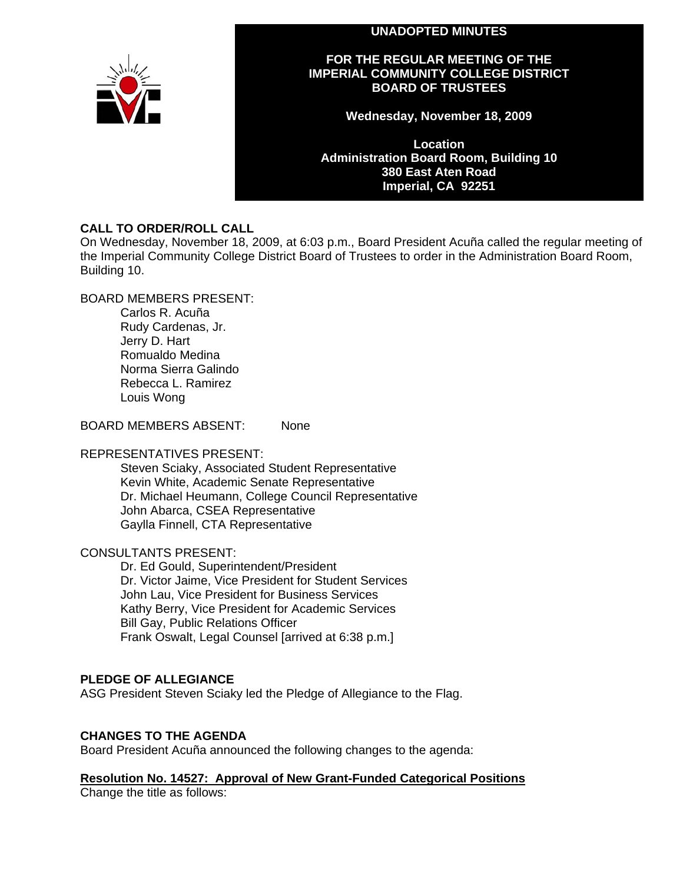## **UNADOPTED MINUTES**



## **FOR THE REGULAR MEETING OF THE IMPERIAL COMMUNITY COLLEGE DISTRICT BOARD OF TRUSTEES**

**Wednesday, November 18, 2009** 

**Location Administration Board Room, Building 10 380 East Aten Road Imperial, CA 92251** 

## **CALL TO ORDER/ROLL CALL**

On Wednesday, November 18, 2009, at 6:03 p.m., Board President Acuña called the regular meeting of the Imperial Community College District Board of Trustees to order in the Administration Board Room, Building 10.

BOARD MEMBERS PRESENT:

Carlos R. Acuña Rudy Cardenas, Jr. Jerry D. Hart Romualdo Medina Norma Sierra Galindo Rebecca L. Ramirez Louis Wong

BOARD MEMBERS ABSENT: None

#### REPRESENTATIVES PRESENT:

Steven Sciaky, Associated Student Representative Kevin White, Academic Senate Representative Dr. Michael Heumann, College Council Representative John Abarca, CSEA Representative Gaylla Finnell, CTA Representative

## CONSULTANTS PRESENT:

Dr. Ed Gould, Superintendent/President Dr. Victor Jaime, Vice President for Student Services John Lau, Vice President for Business Services Kathy Berry, Vice President for Academic Services Bill Gay, Public Relations Officer Frank Oswalt, Legal Counsel [arrived at 6:38 p.m.]

#### **PLEDGE OF ALLEGIANCE**

ASG President Steven Sciaky led the Pledge of Allegiance to the Flag.

## **CHANGES TO THE AGENDA**

Board President Acuña announced the following changes to the agenda:

**Resolution No. 14527: Approval of New Grant-Funded Categorical Positions** Change the title as follows: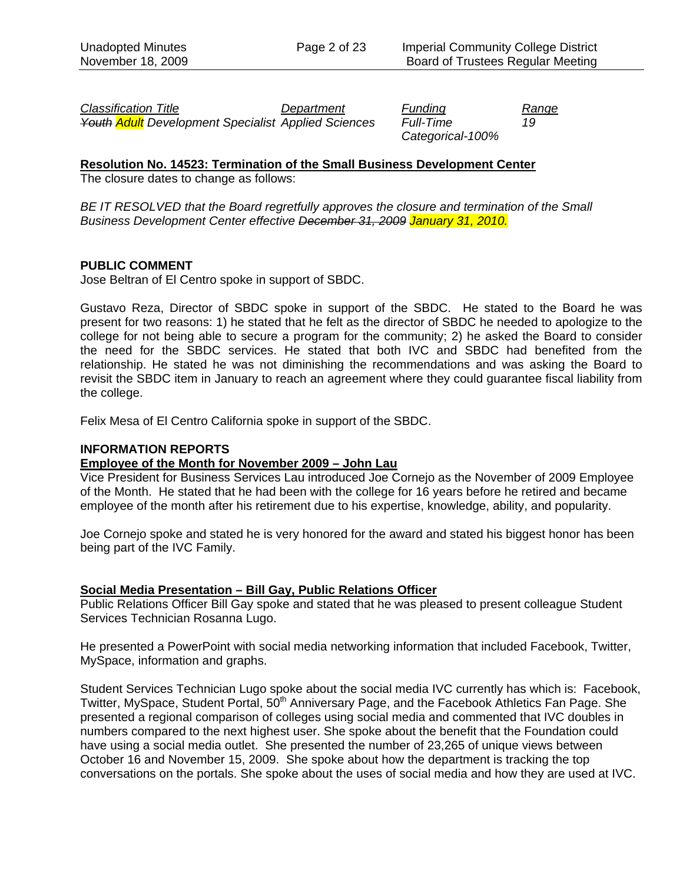*Classification Title Department Funding Range Youth Adult Development Specialist Applied Sciences Full-Time 19* 

*Categorical-100%* 

## **Resolution No. 14523: Termination of the Small Business Development Center**

The closure dates to change as follows:

*BE IT RESOLVED that the Board regretfully approves the closure and termination of the Small Business Development Center effective December 31, 2009 January 31, 2010.* 

## **PUBLIC COMMENT**

Jose Beltran of El Centro spoke in support of SBDC.

Gustavo Reza, Director of SBDC spoke in support of the SBDC. He stated to the Board he was present for two reasons: 1) he stated that he felt as the director of SBDC he needed to apologize to the college for not being able to secure a program for the community; 2) he asked the Board to consider the need for the SBDC services. He stated that both IVC and SBDC had benefited from the relationship. He stated he was not diminishing the recommendations and was asking the Board to revisit the SBDC item in January to reach an agreement where they could guarantee fiscal liability from the college.

Felix Mesa of El Centro California spoke in support of the SBDC.

## **INFORMATION REPORTS**

#### **Employee of the Month for November 2009 – John Lau**

Vice President for Business Services Lau introduced Joe Cornejo as the November of 2009 Employee of the Month. He stated that he had been with the college for 16 years before he retired and became employee of the month after his retirement due to his expertise, knowledge, ability, and popularity.

Joe Cornejo spoke and stated he is very honored for the award and stated his biggest honor has been being part of the IVC Family.

#### **Social Media Presentation – Bill Gay, Public Relations Officer**

Public Relations Officer Bill Gay spoke and stated that he was pleased to present colleague Student Services Technician Rosanna Lugo.

He presented a PowerPoint with social media networking information that included Facebook, Twitter, MySpace, information and graphs.

Student Services Technician Lugo spoke about the social media IVC currently has which is: Facebook, Twitter, MySpace, Student Portal, 50<sup>th</sup> Anniversary Page, and the Facebook Athletics Fan Page. She presented a regional comparison of colleges using social media and commented that IVC doubles in numbers compared to the next highest user. She spoke about the benefit that the Foundation could have using a social media outlet. She presented the number of 23,265 of unique views between October 16 and November 15, 2009. She spoke about how the department is tracking the top conversations on the portals. She spoke about the uses of social media and how they are used at IVC.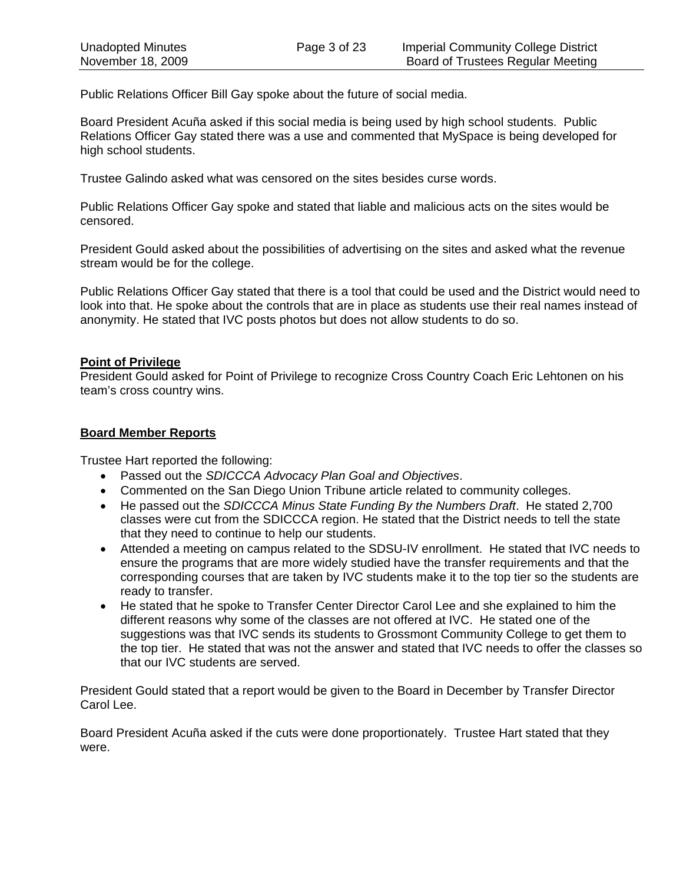Public Relations Officer Bill Gay spoke about the future of social media.

Board President Acuña asked if this social media is being used by high school students. Public Relations Officer Gay stated there was a use and commented that MySpace is being developed for high school students.

Trustee Galindo asked what was censored on the sites besides curse words.

Public Relations Officer Gay spoke and stated that liable and malicious acts on the sites would be censored.

President Gould asked about the possibilities of advertising on the sites and asked what the revenue stream would be for the college.

Public Relations Officer Gay stated that there is a tool that could be used and the District would need to look into that. He spoke about the controls that are in place as students use their real names instead of anonymity. He stated that IVC posts photos but does not allow students to do so.

## **Point of Privilege**

President Gould asked for Point of Privilege to recognize Cross Country Coach Eric Lehtonen on his team's cross country wins.

## **Board Member Reports**

Trustee Hart reported the following:

- Passed out the *SDICCCA Advocacy Plan Goal and Objectives*.
- Commented on the San Diego Union Tribune article related to community colleges.
- He passed out the *SDICCCA Minus State Funding By the Numbers Draft*. He stated 2,700 classes were cut from the SDICCCA region. He stated that the District needs to tell the state that they need to continue to help our students.
- Attended a meeting on campus related to the SDSU-IV enrollment. He stated that IVC needs to ensure the programs that are more widely studied have the transfer requirements and that the corresponding courses that are taken by IVC students make it to the top tier so the students are ready to transfer.
- He stated that he spoke to Transfer Center Director Carol Lee and she explained to him the different reasons why some of the classes are not offered at IVC. He stated one of the suggestions was that IVC sends its students to Grossmont Community College to get them to the top tier. He stated that was not the answer and stated that IVC needs to offer the classes so that our IVC students are served.

President Gould stated that a report would be given to the Board in December by Transfer Director Carol Lee.

Board President Acuña asked if the cuts were done proportionately. Trustee Hart stated that they were.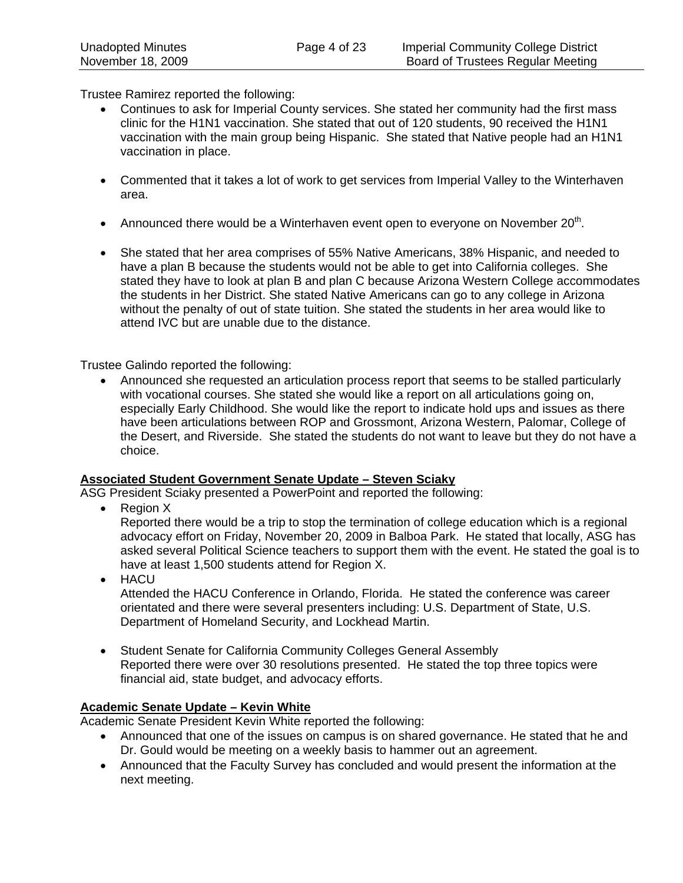Trustee Ramirez reported the following:

- Continues to ask for Imperial County services. She stated her community had the first mass clinic for the H1N1 vaccination. She stated that out of 120 students, 90 received the H1N1 vaccination with the main group being Hispanic. She stated that Native people had an H1N1 vaccination in place.
- Commented that it takes a lot of work to get services from Imperial Valley to the Winterhaven area.
- Announced there would be a Winterhaven event open to everyone on November  $20<sup>th</sup>$ .
- She stated that her area comprises of 55% Native Americans, 38% Hispanic, and needed to have a plan B because the students would not be able to get into California colleges. She stated they have to look at plan B and plan C because Arizona Western College accommodates the students in her District. She stated Native Americans can go to any college in Arizona without the penalty of out of state tuition. She stated the students in her area would like to attend IVC but are unable due to the distance.

Trustee Galindo reported the following:

• Announced she requested an articulation process report that seems to be stalled particularly with vocational courses. She stated she would like a report on all articulations going on, especially Early Childhood. She would like the report to indicate hold ups and issues as there have been articulations between ROP and Grossmont, Arizona Western, Palomar, College of the Desert, and Riverside. She stated the students do not want to leave but they do not have a choice.

## **Associated Student Government Senate Update – Steven Sciaky**

ASG President Sciaky presented a PowerPoint and reported the following:

• Region X

Reported there would be a trip to stop the termination of college education which is a regional advocacy effort on Friday, November 20, 2009 in Balboa Park. He stated that locally, ASG has asked several Political Science teachers to support them with the event. He stated the goal is to have at least 1,500 students attend for Region X.

• HACU

Attended the HACU Conference in Orlando, Florida. He stated the conference was career orientated and there were several presenters including: U.S. Department of State, U.S. Department of Homeland Security, and Lockhead Martin.

• Student Senate for California Community Colleges General Assembly Reported there were over 30 resolutions presented. He stated the top three topics were financial aid, state budget, and advocacy efforts.

## **Academic Senate Update – Kevin White**

Academic Senate President Kevin White reported the following:

- Announced that one of the issues on campus is on shared governance. He stated that he and Dr. Gould would be meeting on a weekly basis to hammer out an agreement.
- Announced that the Faculty Survey has concluded and would present the information at the next meeting.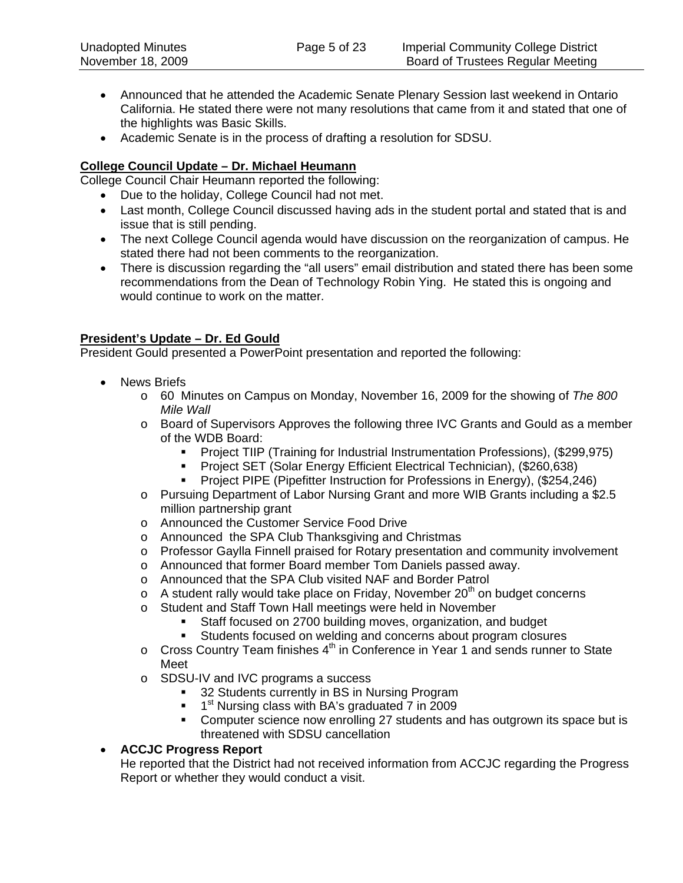- Announced that he attended the Academic Senate Plenary Session last weekend in Ontario California. He stated there were not many resolutions that came from it and stated that one of the highlights was Basic Skills.
- Academic Senate is in the process of drafting a resolution for SDSU.

# **College Council Update – Dr. Michael Heumann**

College Council Chair Heumann reported the following:

- Due to the holiday, College Council had not met.
- Last month, College Council discussed having ads in the student portal and stated that is and issue that is still pending.
- The next College Council agenda would have discussion on the reorganization of campus. He stated there had not been comments to the reorganization.
- There is discussion regarding the "all users" email distribution and stated there has been some recommendations from the Dean of Technology Robin Ying. He stated this is ongoing and would continue to work on the matter.

# **President's Update – Dr. Ed Gould**

President Gould presented a PowerPoint presentation and reported the following:

- News Briefs
	- o 60 Minutes on Campus on Monday, November 16, 2009 for the showing of *The 800 Mile Wall*
	- o Board of Supervisors Approves the following three IVC Grants and Gould as a member of the WDB Board:
		- Project TIIP (Training for Industrial Instrumentation Professions), (\$299,975)
		- **Project SET (Solar Energy Efficient Electrical Technician), (\$260,638)**
		- Project PIPE (Pipefitter Instruction for Professions in Energy), (\$254,246)
	- o Pursuing Department of Labor Nursing Grant and more WIB Grants including a \$2.5 million partnership grant
	- o Announced the Customer Service Food Drive
	- o Announced the SPA Club Thanksgiving and Christmas
	- o Professor Gaylla Finnell praised for Rotary presentation and community involvement
	- o Announced that former Board member Tom Daniels passed away.
	- o Announced that the SPA Club visited NAF and Border Patrol
	- $\circ$  A student rally would take place on Friday, November 20<sup>th</sup> on budget concerns
	- o Student and Staff Town Hall meetings were held in November
		- Staff focused on 2700 building moves, organization, and budget
		- Students focused on welding and concerns about program closures
	- $\circ$  Cross Country Team finishes  $4<sup>th</sup>$  in Conference in Year 1 and sends runner to State Meet
	- o SDSU-IV and IVC programs a success
		- 32 Students currently in BS in Nursing Program
		- $\blacksquare$  1<sup>st</sup> Nursing class with BA's graduated 7 in 2009
		- **Computer science now enrolling 27 students and has outgrown its space but is** threatened with SDSU cancellation

# • **ACCJC Progress Report**

He reported that the District had not received information from ACCJC regarding the Progress Report or whether they would conduct a visit.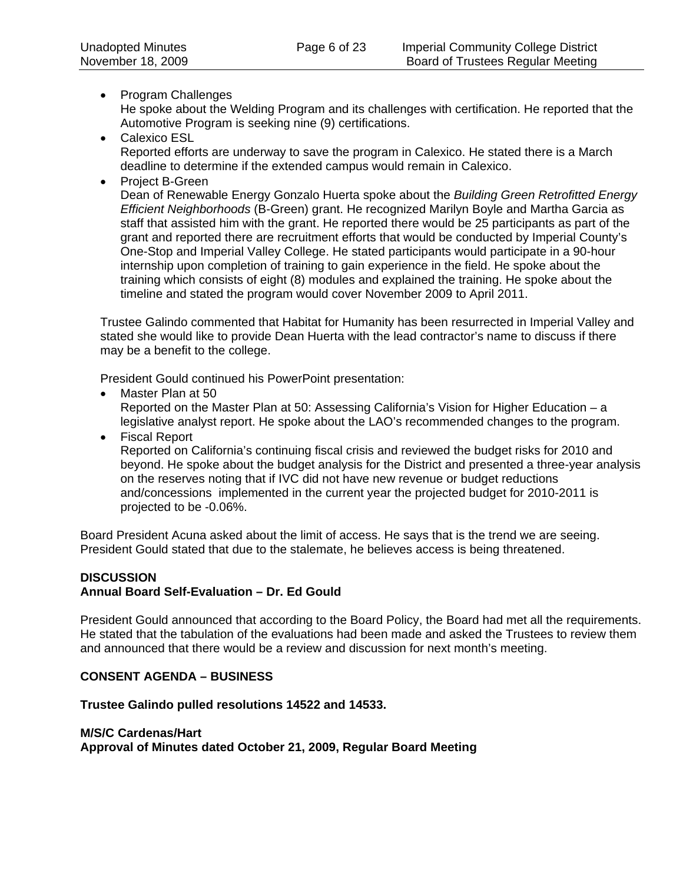- Program Challenges He spoke about the Welding Program and its challenges with certification. He reported that the Automotive Program is seeking nine (9) certifications.
- Calexico ESL Reported efforts are underway to save the program in Calexico. He stated there is a March deadline to determine if the extended campus would remain in Calexico.
- Project B-Green

Dean of Renewable Energy Gonzalo Huerta spoke about the *Building Green Retrofitted Energy Efficient Neighborhoods* (B-Green) grant. He recognized Marilyn Boyle and Martha Garcia as staff that assisted him with the grant. He reported there would be 25 participants as part of the grant and reported there are recruitment efforts that would be conducted by Imperial County's One-Stop and Imperial Valley College. He stated participants would participate in a 90-hour internship upon completion of training to gain experience in the field. He spoke about the training which consists of eight (8) modules and explained the training. He spoke about the timeline and stated the program would cover November 2009 to April 2011.

Trustee Galindo commented that Habitat for Humanity has been resurrected in Imperial Valley and stated she would like to provide Dean Huerta with the lead contractor's name to discuss if there may be a benefit to the college.

President Gould continued his PowerPoint presentation:

- Master Plan at 50 Reported on the Master Plan at 50: Assessing California's Vision for Higher Education – a legislative analyst report. He spoke about the LAO's recommended changes to the program.
- Fiscal Report

Reported on California's continuing fiscal crisis and reviewed the budget risks for 2010 and beyond. He spoke about the budget analysis for the District and presented a three-year analysis on the reserves noting that if IVC did not have new revenue or budget reductions and/concessions implemented in the current year the projected budget for 2010-2011 is projected to be -0.06%.

Board President Acuna asked about the limit of access. He says that is the trend we are seeing. President Gould stated that due to the stalemate, he believes access is being threatened.

# **DISCUSSION**

## **Annual Board Self-Evaluation – Dr. Ed Gould**

President Gould announced that according to the Board Policy, the Board had met all the requirements. He stated that the tabulation of the evaluations had been made and asked the Trustees to review them and announced that there would be a review and discussion for next month's meeting.

## **CONSENT AGENDA – BUSINESS**

**Trustee Galindo pulled resolutions 14522 and 14533.** 

#### **M/S/C Cardenas/Hart**

**Approval of Minutes dated October 21, 2009, Regular Board Meeting**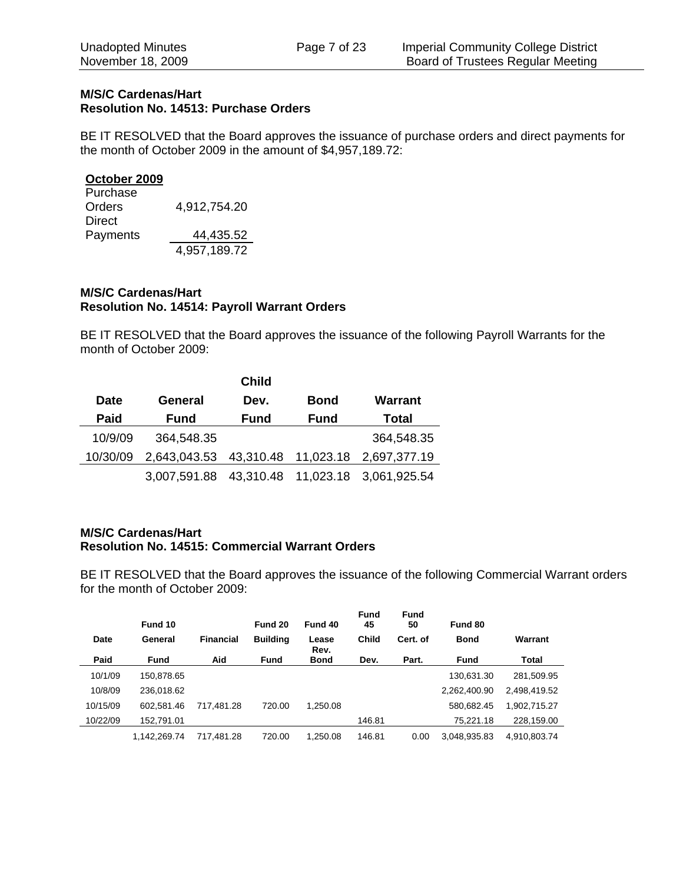## **M/S/C Cardenas/Hart Resolution No. 14513: Purchase Orders**

BE IT RESOLVED that the Board approves the issuance of purchase orders and direct payments for the month of October 2009 in the amount of \$4,957,189.72:

#### **October 2009**

| Purchase      |              |
|---------------|--------------|
| <b>Orders</b> | 4,912,754.20 |
| Direct        |              |
| Payments      | 44,435.52    |
|               | 4,957,189.72 |

## **M/S/C Cardenas/Hart Resolution No. 14514: Payroll Warrant Orders**

BE IT RESOLVED that the Board approves the issuance of the following Payroll Warrants for the month of October 2009:

|             |              | <b>Child</b>        |             |              |
|-------------|--------------|---------------------|-------------|--------------|
| <b>Date</b> | General      | Dev.                | <b>Bond</b> | Warrant      |
| Paid        | <b>Fund</b>  | Fund                | <b>Fund</b> | Total        |
| 10/9/09     | 364,548.35   |                     |             | 364,548.35   |
| 10/30/09    | 2,643,043.53 | 43,310.48 11,023.18 |             | 2,697,377.19 |
|             | 3,007,591.88 | 43,310.48 11,023.18 |             | 3.061.925.54 |

## **M/S/C Cardenas/Hart Resolution No. 14515: Commercial Warrant Orders**

BE IT RESOLVED that the Board approves the issuance of the following Commercial Warrant orders for the month of October 2009:

|          | Fund 10      |                  | Fund 20         | Fund 40       | <b>Fund</b><br>45 | <b>Fund</b><br>50 | Fund 80      |              |
|----------|--------------|------------------|-----------------|---------------|-------------------|-------------------|--------------|--------------|
| Date     | General      | <b>Financial</b> | <b>Building</b> | Lease<br>Rev. | <b>Child</b>      | Cert. of          | <b>Bond</b>  | Warrant      |
| Paid     | <b>Fund</b>  | Aid              | <b>Fund</b>     | Bond          | Dev.              | Part.             | Fund         | Total        |
| 10/1/09  | 150,878.65   |                  |                 |               |                   |                   | 130,631.30   | 281,509.95   |
| 10/8/09  | 236.018.62   |                  |                 |               |                   |                   | 2,262,400.90 | 2,498,419.52 |
| 10/15/09 | 602.581.46   | 717.481.28       | 720.00          | 1.250.08      |                   |                   | 580,682.45   | 1,902,715.27 |
| 10/22/09 | 152,791.01   |                  |                 |               | 146.81            |                   | 75,221.18    | 228,159.00   |
|          | 1.142.269.74 | 717.481.28       | 720.00          | 1.250.08      | 146.81            | 0.00              | 3.048.935.83 | 4.910.803.74 |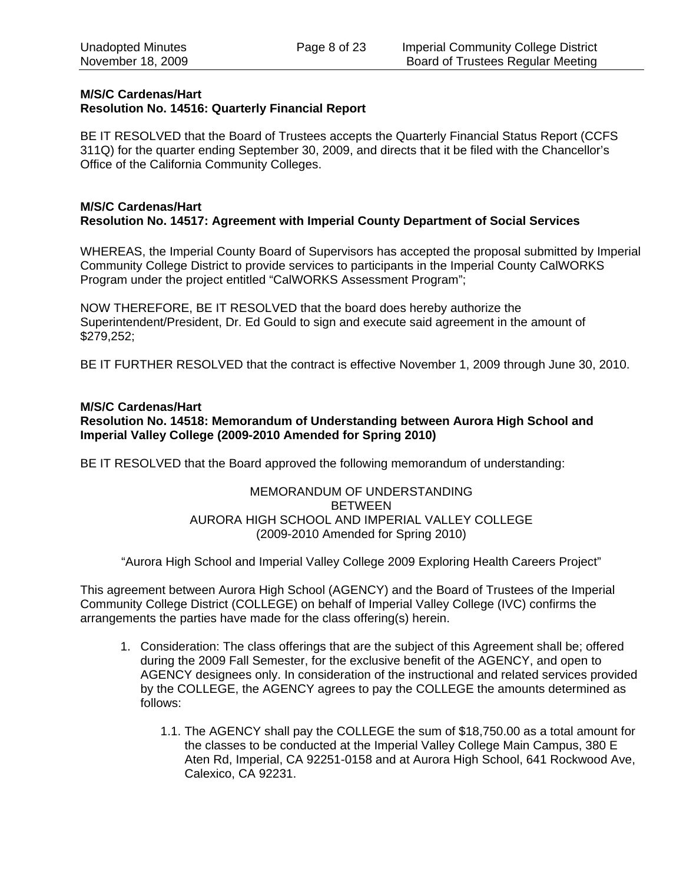## **M/S/C Cardenas/Hart Resolution No. 14516: Quarterly Financial Report**

BE IT RESOLVED that the Board of Trustees accepts the Quarterly Financial Status Report (CCFS 311Q) for the quarter ending September 30, 2009, and directs that it be filed with the Chancellor's Office of the California Community Colleges.

#### **M/S/C Cardenas/Hart Resolution No. 14517: Agreement with Imperial County Department of Social Services**

WHEREAS, the Imperial County Board of Supervisors has accepted the proposal submitted by Imperial Community College District to provide services to participants in the Imperial County CalWORKS Program under the project entitled "CalWORKS Assessment Program";

NOW THEREFORE, BE IT RESOLVED that the board does hereby authorize the Superintendent/President, Dr. Ed Gould to sign and execute said agreement in the amount of \$279,252;

BE IT FURTHER RESOLVED that the contract is effective November 1, 2009 through June 30, 2010.

# **M/S/C Cardenas/Hart**

## **Resolution No. 14518: Memorandum of Understanding between Aurora High School and Imperial Valley College (2009-2010 Amended for Spring 2010)**

BE IT RESOLVED that the Board approved the following memorandum of understanding:

## MEMORANDUM OF UNDERSTANDING BETWEEN AURORA HIGH SCHOOL AND IMPERIAL VALLEY COLLEGE (2009-2010 Amended for Spring 2010)

"Aurora High School and Imperial Valley College 2009 Exploring Health Careers Project"

This agreement between Aurora High School (AGENCY) and the Board of Trustees of the Imperial Community College District (COLLEGE) on behalf of Imperial Valley College (IVC) confirms the arrangements the parties have made for the class offering(s) herein.

- 1. Consideration: The class offerings that are the subject of this Agreement shall be; offered during the 2009 Fall Semester, for the exclusive benefit of the AGENCY, and open to AGENCY designees only. In consideration of the instructional and related services provided by the COLLEGE, the AGENCY agrees to pay the COLLEGE the amounts determined as follows:
	- 1.1. The AGENCY shall pay the COLLEGE the sum of \$18,750.00 as a total amount for the classes to be conducted at the Imperial Valley College Main Campus, 380 E Aten Rd, Imperial, CA 92251-0158 and at Aurora High School, 641 Rockwood Ave, Calexico, CA 92231.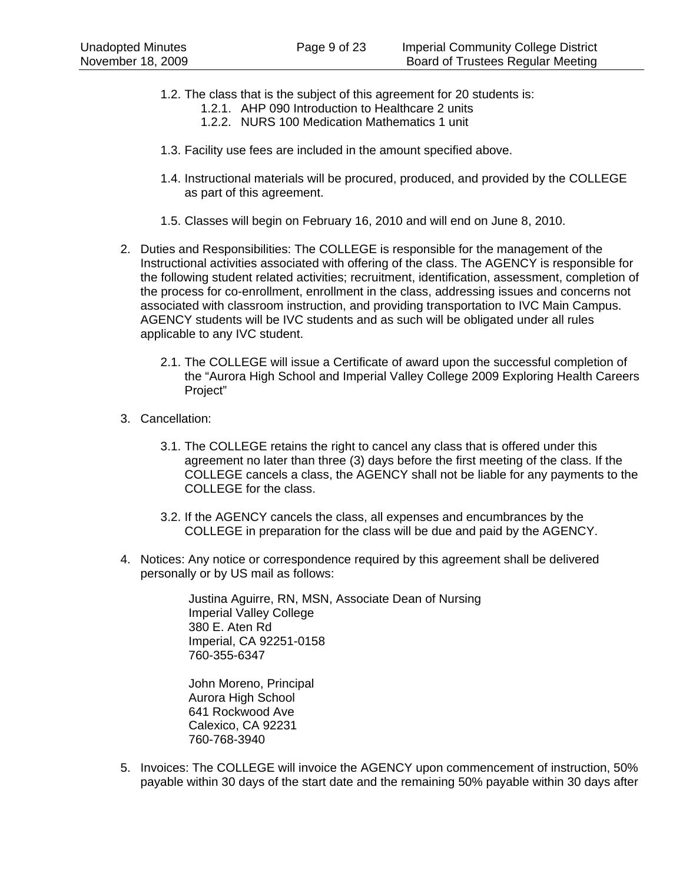- 1.2. The class that is the subject of this agreement for 20 students is:
	- 1.2.1. AHP 090 Introduction to Healthcare 2 units
	- 1.2.2. NURS 100 Medication Mathematics 1 unit
- 1.3. Facility use fees are included in the amount specified above.
- 1.4. Instructional materials will be procured, produced, and provided by the COLLEGE as part of this agreement.
- 1.5. Classes will begin on February 16, 2010 and will end on June 8, 2010.
- 2. Duties and Responsibilities: The COLLEGE is responsible for the management of the Instructional activities associated with offering of the class. The AGENCY is responsible for the following student related activities; recruitment, identification, assessment, completion of the process for co-enrollment, enrollment in the class, addressing issues and concerns not associated with classroom instruction, and providing transportation to IVC Main Campus. AGENCY students will be IVC students and as such will be obligated under all rules applicable to any IVC student.
	- 2.1. The COLLEGE will issue a Certificate of award upon the successful completion of the "Aurora High School and Imperial Valley College 2009 Exploring Health Careers Project"
- 3. Cancellation:
	- 3.1. The COLLEGE retains the right to cancel any class that is offered under this agreement no later than three (3) days before the first meeting of the class. If the COLLEGE cancels a class, the AGENCY shall not be liable for any payments to the COLLEGE for the class.
	- 3.2. If the AGENCY cancels the class, all expenses and encumbrances by the COLLEGE in preparation for the class will be due and paid by the AGENCY.
- 4. Notices: Any notice or correspondence required by this agreement shall be delivered personally or by US mail as follows:

Justina Aguirre, RN, MSN, Associate Dean of Nursing Imperial Valley College 380 E. Aten Rd Imperial, CA 92251-0158 760-355-6347

John Moreno, Principal Aurora High School 641 Rockwood Ave Calexico, CA 92231 760-768-3940

5. Invoices: The COLLEGE will invoice the AGENCY upon commencement of instruction, 50% payable within 30 days of the start date and the remaining 50% payable within 30 days after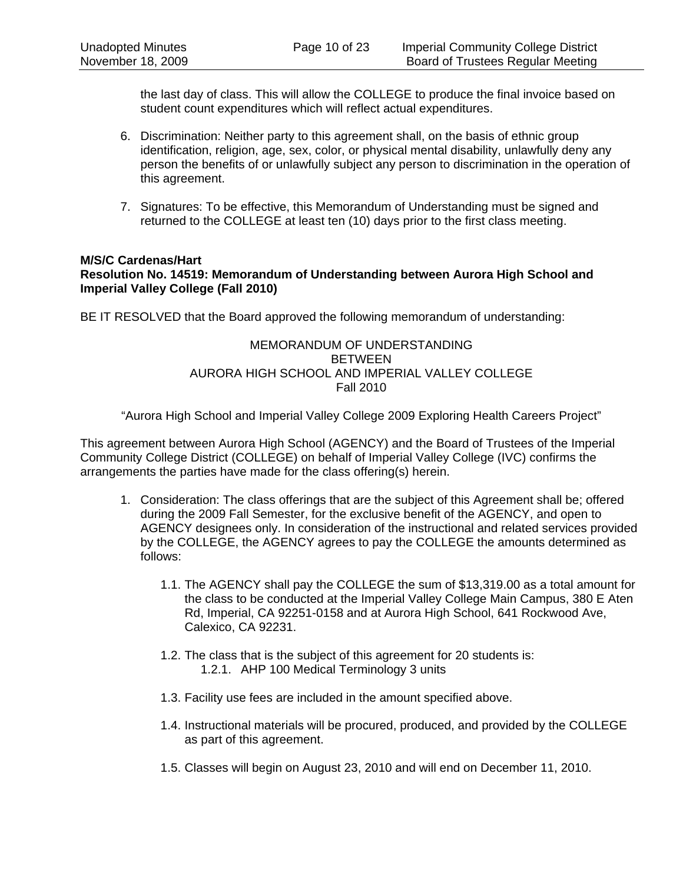the last day of class. This will allow the COLLEGE to produce the final invoice based on student count expenditures which will reflect actual expenditures.

- 6. Discrimination: Neither party to this agreement shall, on the basis of ethnic group identification, religion, age, sex, color, or physical mental disability, unlawfully deny any person the benefits of or unlawfully subject any person to discrimination in the operation of this agreement.
- 7. Signatures: To be effective, this Memorandum of Understanding must be signed and returned to the COLLEGE at least ten (10) days prior to the first class meeting.

#### **M/S/C Cardenas/Hart Resolution No. 14519: Memorandum of Understanding between Aurora High School and Imperial Valley College (Fall 2010)**

BE IT RESOLVED that the Board approved the following memorandum of understanding:

## MEMORANDUM OF UNDERSTANDING BETWEEN AURORA HIGH SCHOOL AND IMPERIAL VALLEY COLLEGE Fall 2010

"Aurora High School and Imperial Valley College 2009 Exploring Health Careers Project"

This agreement between Aurora High School (AGENCY) and the Board of Trustees of the Imperial Community College District (COLLEGE) on behalf of Imperial Valley College (IVC) confirms the arrangements the parties have made for the class offering(s) herein.

- 1. Consideration: The class offerings that are the subject of this Agreement shall be; offered during the 2009 Fall Semester, for the exclusive benefit of the AGENCY, and open to AGENCY designees only. In consideration of the instructional and related services provided by the COLLEGE, the AGENCY agrees to pay the COLLEGE the amounts determined as follows:
	- 1.1. The AGENCY shall pay the COLLEGE the sum of \$13,319.00 as a total amount for the class to be conducted at the Imperial Valley College Main Campus, 380 E Aten Rd, Imperial, CA 92251-0158 and at Aurora High School, 641 Rockwood Ave, Calexico, CA 92231.
	- 1.2. The class that is the subject of this agreement for 20 students is: 1.2.1. AHP 100 Medical Terminology 3 units
	- 1.3. Facility use fees are included in the amount specified above.
	- 1.4. Instructional materials will be procured, produced, and provided by the COLLEGE as part of this agreement.
	- 1.5. Classes will begin on August 23, 2010 and will end on December 11, 2010.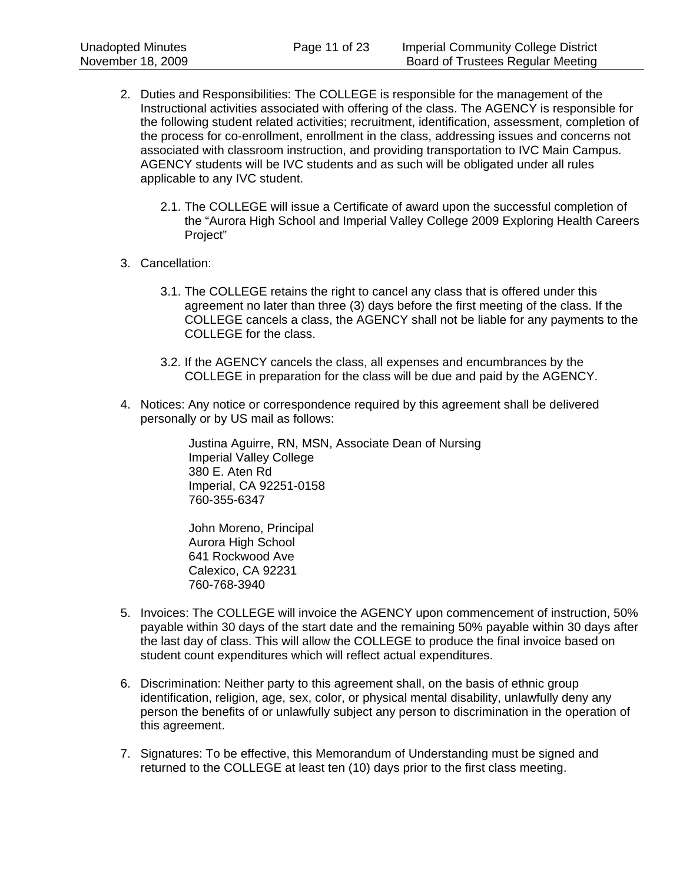- 2. Duties and Responsibilities: The COLLEGE is responsible for the management of the Instructional activities associated with offering of the class. The AGENCY is responsible for the following student related activities; recruitment, identification, assessment, completion of the process for co-enrollment, enrollment in the class, addressing issues and concerns not associated with classroom instruction, and providing transportation to IVC Main Campus. AGENCY students will be IVC students and as such will be obligated under all rules applicable to any IVC student.
	- 2.1. The COLLEGE will issue a Certificate of award upon the successful completion of the "Aurora High School and Imperial Valley College 2009 Exploring Health Careers Project"
- 3. Cancellation:
	- 3.1. The COLLEGE retains the right to cancel any class that is offered under this agreement no later than three (3) days before the first meeting of the class. If the COLLEGE cancels a class, the AGENCY shall not be liable for any payments to the COLLEGE for the class.
	- 3.2. If the AGENCY cancels the class, all expenses and encumbrances by the COLLEGE in preparation for the class will be due and paid by the AGENCY.
- 4. Notices: Any notice or correspondence required by this agreement shall be delivered personally or by US mail as follows:

Justina Aguirre, RN, MSN, Associate Dean of Nursing Imperial Valley College 380 E. Aten Rd Imperial, CA 92251-0158 760-355-6347

John Moreno, Principal Aurora High School 641 Rockwood Ave Calexico, CA 92231 760-768-3940

- 5. Invoices: The COLLEGE will invoice the AGENCY upon commencement of instruction, 50% payable within 30 days of the start date and the remaining 50% payable within 30 days after the last day of class. This will allow the COLLEGE to produce the final invoice based on student count expenditures which will reflect actual expenditures.
- 6. Discrimination: Neither party to this agreement shall, on the basis of ethnic group identification, religion, age, sex, color, or physical mental disability, unlawfully deny any person the benefits of or unlawfully subject any person to discrimination in the operation of this agreement.
- 7. Signatures: To be effective, this Memorandum of Understanding must be signed and returned to the COLLEGE at least ten (10) days prior to the first class meeting.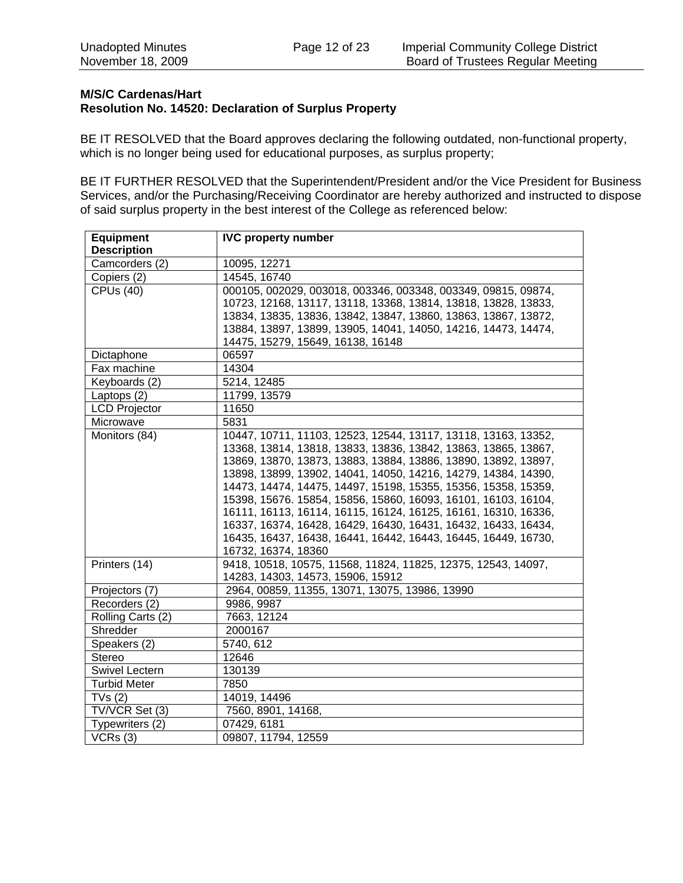## **M/S/C Cardenas/Hart Resolution No. 14520: Declaration of Surplus Property**

BE IT RESOLVED that the Board approves declaring the following outdated, non-functional property, which is no longer being used for educational purposes, as surplus property;

BE IT FURTHER RESOLVED that the Superintendent/President and/or the Vice President for Business Services, and/or the Purchasing/Receiving Coordinator are hereby authorized and instructed to dispose of said surplus property in the best interest of the College as referenced below:

| <b>Equipment</b>     | <b>IVC property number</b>                                     |
|----------------------|----------------------------------------------------------------|
| <b>Description</b>   |                                                                |
| Camcorders (2)       | 10095, 12271                                                   |
| Copiers (2)          | 14545, 16740                                                   |
| <b>CPUs (40)</b>     | 000105, 002029, 003018, 003346, 003348, 003349, 09815, 09874,  |
|                      | 10723, 12168, 13117, 13118, 13368, 13814, 13818, 13828, 13833, |
|                      | 13834, 13835, 13836, 13842, 13847, 13860, 13863, 13867, 13872, |
|                      | 13884, 13897, 13899, 13905, 14041, 14050, 14216, 14473, 14474, |
|                      | 14475, 15279, 15649, 16138, 16148                              |
| Dictaphone           | 06597                                                          |
| Fax machine          | 14304                                                          |
| Keyboards (2)        | 5214, 12485                                                    |
| Laptops (2)          | 11799, 13579                                                   |
| <b>LCD Projector</b> | 11650                                                          |
| Microwave            | 5831                                                           |
| Monitors (84)        | 10447, 10711, 11103, 12523, 12544, 13117, 13118, 13163, 13352, |
|                      | 13368, 13814, 13818, 13833, 13836, 13842, 13863, 13865, 13867, |
|                      | 13869, 13870, 13873, 13883, 13884, 13886, 13890, 13892, 13897, |
|                      | 13898, 13899, 13902, 14041, 14050, 14216, 14279, 14384, 14390, |
|                      | 14473, 14474, 14475, 14497, 15198, 15355, 15356, 15358, 15359, |
|                      | 15398, 15676. 15854, 15856, 15860, 16093, 16101, 16103, 16104, |
|                      | 16111, 16113, 16114, 16115, 16124, 16125, 16161, 16310, 16336, |
|                      | 16337, 16374, 16428, 16429, 16430, 16431, 16432, 16433, 16434, |
|                      | 16435, 16437, 16438, 16441, 16442, 16443, 16445, 16449, 16730, |
|                      | 16732, 16374, 18360                                            |
| Printers (14)        | 9418, 10518, 10575, 11568, 11824, 11825, 12375, 12543, 14097,  |
|                      | 14283, 14303, 14573, 15906, 15912                              |
| Projectors (7)       | 2964, 00859, 11355, 13071, 13075, 13986, 13990                 |
| Recorders (2)        | 9986, 9987                                                     |
| Rolling Carts (2)    | 7663, 12124                                                    |
| Shredder             | 2000167                                                        |
| Speakers (2)         | 5740, 612                                                      |
| <b>Stereo</b>        | 12646                                                          |
| Swivel Lectern       | 130139                                                         |
| <b>Turbid Meter</b>  | 7850                                                           |
| TVs(2)               | 14019, 14496                                                   |
| TV/VCR Set (3)       | 7560, 8901, 14168,                                             |
| Typewriters (2)      | 07429, 6181                                                    |
| VCRs(3)              | 09807, 11794, 12559                                            |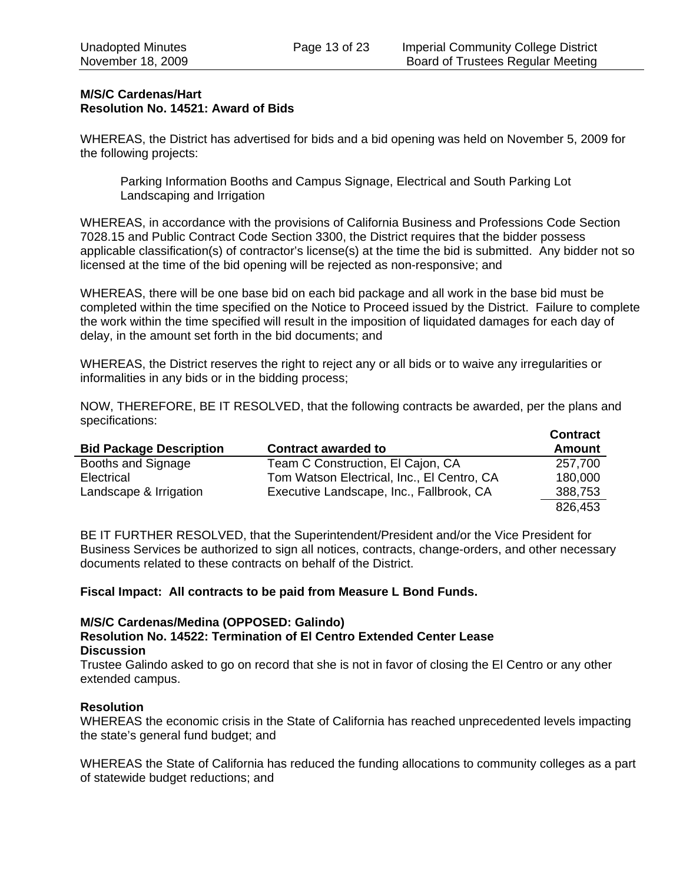## **M/S/C Cardenas/Hart Resolution No. 14521: Award of Bids**

WHEREAS, the District has advertised for bids and a bid opening was held on November 5, 2009 for the following projects:

Parking Information Booths and Campus Signage, Electrical and South Parking Lot Landscaping and Irrigation

WHEREAS, in accordance with the provisions of California Business and Professions Code Section 7028.15 and Public Contract Code Section 3300, the District requires that the bidder possess applicable classification(s) of contractor's license(s) at the time the bid is submitted. Any bidder not so licensed at the time of the bid opening will be rejected as non-responsive; and

WHEREAS, there will be one base bid on each bid package and all work in the base bid must be completed within the time specified on the Notice to Proceed issued by the District. Failure to complete the work within the time specified will result in the imposition of liquidated damages for each day of delay, in the amount set forth in the bid documents; and

WHEREAS, the District reserves the right to reject any or all bids or to waive any irregularities or informalities in any bids or in the bidding process;

NOW, THEREFORE, BE IT RESOLVED, that the following contracts be awarded, per the plans and specifications:

| <b>Bid Package Description</b> | <b>Contract awarded to</b>                 | <b>Contract</b><br>Amount |
|--------------------------------|--------------------------------------------|---------------------------|
| Booths and Signage             | Team C Construction, El Cajon, CA          | 257,700                   |
| Electrical                     | Tom Watson Electrical, Inc., El Centro, CA | 180,000                   |
| Landscape & Irrigation         | Executive Landscape, Inc., Fallbrook, CA   | 388,753                   |
|                                |                                            | 826,453                   |

BE IT FURTHER RESOLVED, that the Superintendent/President and/or the Vice President for Business Services be authorized to sign all notices, contracts, change-orders, and other necessary documents related to these contracts on behalf of the District.

**Fiscal Impact: All contracts to be paid from Measure L Bond Funds.** 

## **M/S/C Cardenas/Medina (OPPOSED: Galindo)**

#### **Resolution No. 14522: Termination of El Centro Extended Center Lease Discussion**

Trustee Galindo asked to go on record that she is not in favor of closing the El Centro or any other extended campus.

#### **Resolution**

WHEREAS the economic crisis in the State of California has reached unprecedented levels impacting the state's general fund budget; and

WHEREAS the State of California has reduced the funding allocations to community colleges as a part of statewide budget reductions; and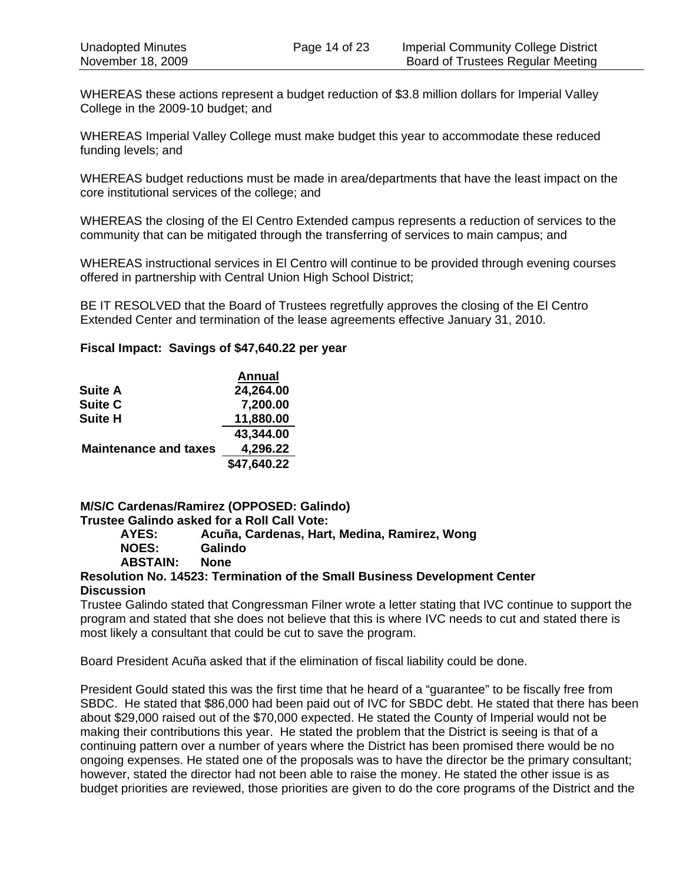WHEREAS these actions represent a budget reduction of \$3.8 million dollars for Imperial Valley College in the 2009-10 budget; and

WHEREAS Imperial Valley College must make budget this year to accommodate these reduced funding levels; and

WHEREAS budget reductions must be made in area/departments that have the least impact on the core institutional services of the college; and

WHEREAS the closing of the El Centro Extended campus represents a reduction of services to the community that can be mitigated through the transferring of services to main campus; and

WHEREAS instructional services in El Centro will continue to be provided through evening courses offered in partnership with Central Union High School District;

BE IT RESOLVED that the Board of Trustees regretfully approves the closing of the El Centro Extended Center and termination of the lease agreements effective January 31, 2010.

#### **Fiscal Impact: Savings of \$47,640.22 per year**

|                              | <b>Annual</b> |
|------------------------------|---------------|
| <b>Suite A</b>               | 24,264.00     |
| Suite C                      | 7,200.00      |
| <b>Suite H</b>               | 11,880.00     |
|                              | 43,344.00     |
| <b>Maintenance and taxes</b> | 4,296.22      |
|                              | \$47,640.22   |

# **M/S/C Cardenas/Ramirez (OPPOSED: Galindo)**

# **Trustee Galindo asked for a Roll Call Vote:**

**AYES: Acuña, Cardenas, Hart, Medina, Ramirez, Wong NOES: Galindo ABSTAIN: None** 

#### **Resolution No. 14523: Termination of the Small Business Development Center Discussion**

Trustee Galindo stated that Congressman Filner wrote a letter stating that IVC continue to support the program and stated that she does not believe that this is where IVC needs to cut and stated there is most likely a consultant that could be cut to save the program.

Board President Acuña asked that if the elimination of fiscal liability could be done.

President Gould stated this was the first time that he heard of a "guarantee" to be fiscally free from SBDC. He stated that \$86,000 had been paid out of IVC for SBDC debt. He stated that there has been about \$29,000 raised out of the \$70,000 expected. He stated the County of Imperial would not be making their contributions this year. He stated the problem that the District is seeing is that of a continuing pattern over a number of years where the District has been promised there would be no ongoing expenses. He stated one of the proposals was to have the director be the primary consultant; however, stated the director had not been able to raise the money. He stated the other issue is as budget priorities are reviewed, those priorities are given to do the core programs of the District and the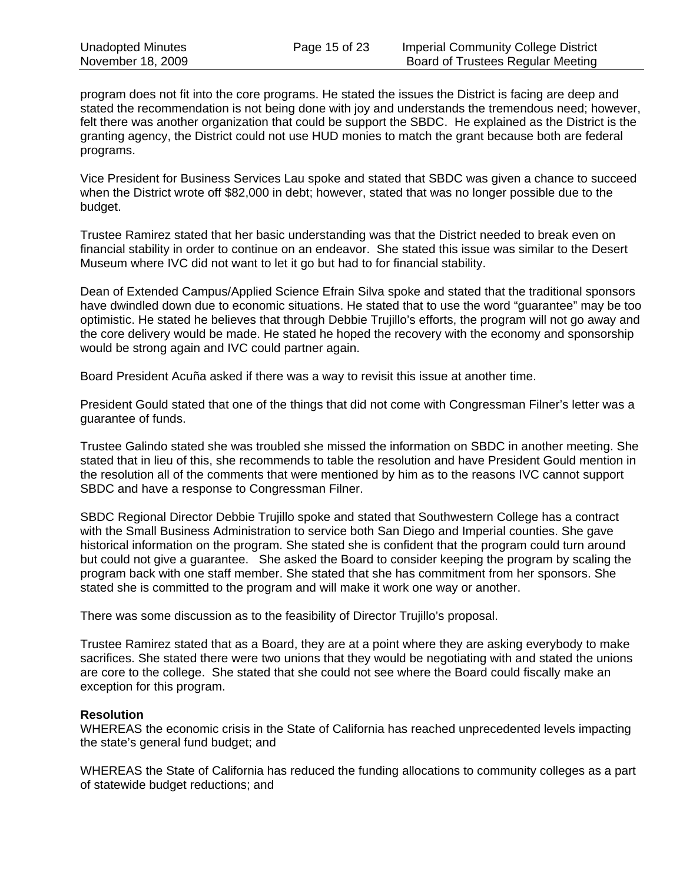program does not fit into the core programs. He stated the issues the District is facing are deep and stated the recommendation is not being done with joy and understands the tremendous need; however, felt there was another organization that could be support the SBDC. He explained as the District is the granting agency, the District could not use HUD monies to match the grant because both are federal programs.

Vice President for Business Services Lau spoke and stated that SBDC was given a chance to succeed when the District wrote off \$82,000 in debt; however, stated that was no longer possible due to the budget.

Trustee Ramirez stated that her basic understanding was that the District needed to break even on financial stability in order to continue on an endeavor. She stated this issue was similar to the Desert Museum where IVC did not want to let it go but had to for financial stability.

Dean of Extended Campus/Applied Science Efrain Silva spoke and stated that the traditional sponsors have dwindled down due to economic situations. He stated that to use the word "guarantee" may be too optimistic. He stated he believes that through Debbie Trujillo's efforts, the program will not go away and the core delivery would be made. He stated he hoped the recovery with the economy and sponsorship would be strong again and IVC could partner again.

Board President Acuña asked if there was a way to revisit this issue at another time.

President Gould stated that one of the things that did not come with Congressman Filner's letter was a guarantee of funds.

Trustee Galindo stated she was troubled she missed the information on SBDC in another meeting. She stated that in lieu of this, she recommends to table the resolution and have President Gould mention in the resolution all of the comments that were mentioned by him as to the reasons IVC cannot support SBDC and have a response to Congressman Filner.

SBDC Regional Director Debbie Trujillo spoke and stated that Southwestern College has a contract with the Small Business Administration to service both San Diego and Imperial counties. She gave historical information on the program. She stated she is confident that the program could turn around but could not give a guarantee. She asked the Board to consider keeping the program by scaling the program back with one staff member. She stated that she has commitment from her sponsors. She stated she is committed to the program and will make it work one way or another.

There was some discussion as to the feasibility of Director Trujillo's proposal.

Trustee Ramirez stated that as a Board, they are at a point where they are asking everybody to make sacrifices. She stated there were two unions that they would be negotiating with and stated the unions are core to the college. She stated that she could not see where the Board could fiscally make an exception for this program.

## **Resolution**

WHEREAS the economic crisis in the State of California has reached unprecedented levels impacting the state's general fund budget; and

WHEREAS the State of California has reduced the funding allocations to community colleges as a part of statewide budget reductions; and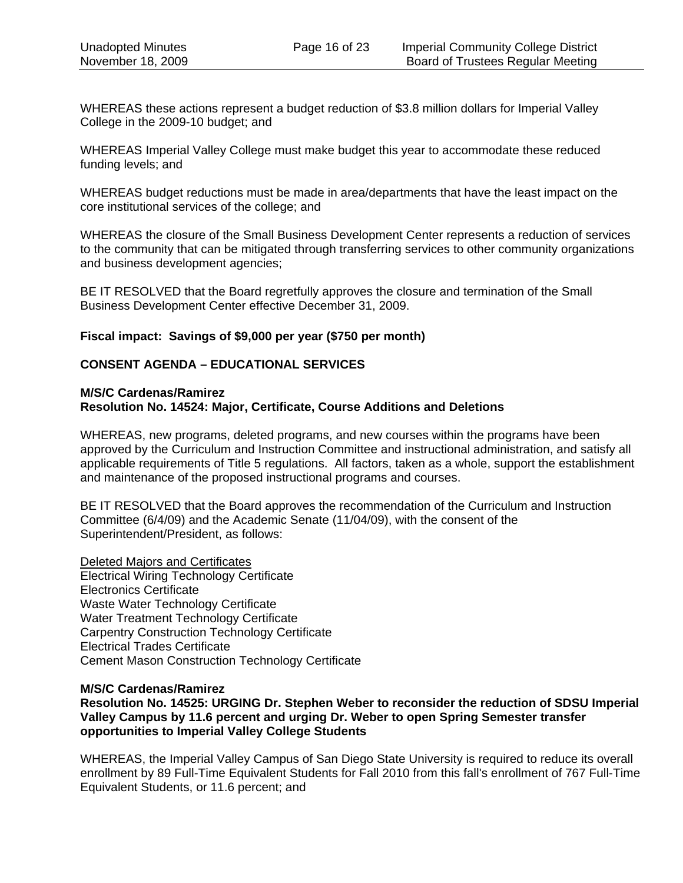WHEREAS these actions represent a budget reduction of \$3.8 million dollars for Imperial Valley College in the 2009-10 budget; and

WHEREAS Imperial Valley College must make budget this year to accommodate these reduced funding levels; and

WHEREAS budget reductions must be made in area/departments that have the least impact on the core institutional services of the college; and

WHEREAS the closure of the Small Business Development Center represents a reduction of services to the community that can be mitigated through transferring services to other community organizations and business development agencies;

BE IT RESOLVED that the Board regretfully approves the closure and termination of the Small Business Development Center effective December 31, 2009.

#### **Fiscal impact: Savings of \$9,000 per year (\$750 per month)**

# **CONSENT AGENDA – EDUCATIONAL SERVICES**

#### **M/S/C Cardenas/Ramirez Resolution No. 14524: Major, Certificate, Course Additions and Deletions**

WHEREAS, new programs, deleted programs, and new courses within the programs have been approved by the Curriculum and Instruction Committee and instructional administration, and satisfy all applicable requirements of Title 5 regulations. All factors, taken as a whole, support the establishment and maintenance of the proposed instructional programs and courses.

BE IT RESOLVED that the Board approves the recommendation of the Curriculum and Instruction Committee (6/4/09) and the Academic Senate (11/04/09), with the consent of the Superintendent/President, as follows:

Deleted Majors and Certificates Electrical Wiring Technology Certificate Electronics Certificate Waste Water Technology Certificate Water Treatment Technology Certificate Carpentry Construction Technology Certificate Electrical Trades Certificate Cement Mason Construction Technology Certificate

#### **M/S/C Cardenas/Ramirez**

**Resolution No. 14525: URGING Dr. Stephen Weber to reconsider the reduction of SDSU Imperial Valley Campus by 11.6 percent and urging Dr. Weber to open Spring Semester transfer opportunities to Imperial Valley College Students** 

WHEREAS, the Imperial Valley Campus of San Diego State University is required to reduce its overall enrollment by 89 Full-Time Equivalent Students for Fall 2010 from this fall's enrollment of 767 Full-Time Equivalent Students, or 11.6 percent; and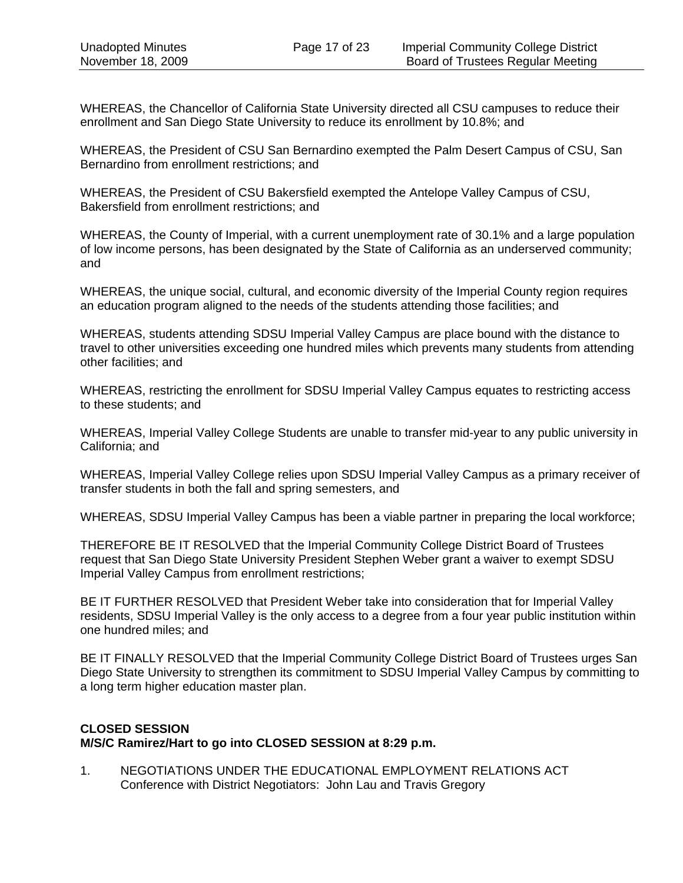WHEREAS, the Chancellor of California State University directed all CSU campuses to reduce their enrollment and San Diego State University to reduce its enrollment by 10.8%; and

WHEREAS, the President of CSU San Bernardino exempted the Palm Desert Campus of CSU, San Bernardino from enrollment restrictions; and

WHEREAS, the President of CSU Bakersfield exempted the Antelope Valley Campus of CSU, Bakersfield from enrollment restrictions; and

WHEREAS, the County of Imperial, with a current unemployment rate of 30.1% and a large population of low income persons, has been designated by the State of California as an underserved community; and

WHEREAS, the unique social, cultural, and economic diversity of the Imperial County region requires an education program aligned to the needs of the students attending those facilities; and

WHEREAS, students attending SDSU Imperial Valley Campus are place bound with the distance to travel to other universities exceeding one hundred miles which prevents many students from attending other facilities; and

WHEREAS, restricting the enrollment for SDSU Imperial Valley Campus equates to restricting access to these students; and

WHEREAS, Imperial Valley College Students are unable to transfer mid-year to any public university in California; and

WHEREAS, Imperial Valley College relies upon SDSU Imperial Valley Campus as a primary receiver of transfer students in both the fall and spring semesters, and

WHEREAS, SDSU Imperial Valley Campus has been a viable partner in preparing the local workforce;

THEREFORE BE IT RESOLVED that the Imperial Community College District Board of Trustees request that San Diego State University President Stephen Weber grant a waiver to exempt SDSU Imperial Valley Campus from enrollment restrictions;

BE IT FURTHER RESOLVED that President Weber take into consideration that for Imperial Valley residents, SDSU Imperial Valley is the only access to a degree from a four year public institution within one hundred miles; and

BE IT FINALLY RESOLVED that the Imperial Community College District Board of Trustees urges San Diego State University to strengthen its commitment to SDSU Imperial Valley Campus by committing to a long term higher education master plan.

## **CLOSED SESSION M/S/C Ramirez/Hart to go into CLOSED SESSION at 8:29 p.m.**

1. NEGOTIATIONS UNDER THE EDUCATIONAL EMPLOYMENT RELATIONS ACT Conference with District Negotiators: John Lau and Travis Gregory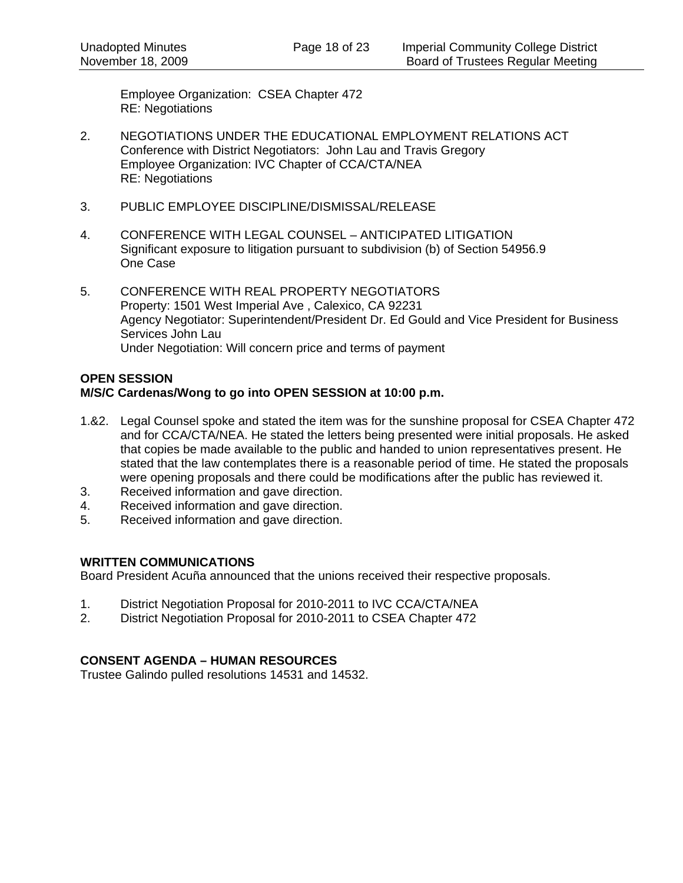Employee Organization: CSEA Chapter 472 RE: Negotiations

- 2. NEGOTIATIONS UNDER THE EDUCATIONAL EMPLOYMENT RELATIONS ACT Conference with District Negotiators: John Lau and Travis Gregory Employee Organization: IVC Chapter of CCA/CTA/NEA RE: Negotiations
- 3. PUBLIC EMPLOYEE DISCIPLINE/DISMISSAL/RELEASE
- 4. CONFERENCE WITH LEGAL COUNSEL ANTICIPATED LITIGATION Significant exposure to litigation pursuant to subdivision (b) of Section 54956.9 One Case
- 5. CONFERENCE WITH REAL PROPERTY NEGOTIATORS Property: 1501 West Imperial Ave , Calexico, CA 92231 Agency Negotiator: Superintendent/President Dr. Ed Gould and Vice President for Business Services John Lau Under Negotiation: Will concern price and terms of payment

# **OPEN SESSION**

# **M/S/C Cardenas/Wong to go into OPEN SESSION at 10:00 p.m.**

- 1.&2. Legal Counsel spoke and stated the item was for the sunshine proposal for CSEA Chapter 472 and for CCA/CTA/NEA. He stated the letters being presented were initial proposals. He asked that copies be made available to the public and handed to union representatives present. He stated that the law contemplates there is a reasonable period of time. He stated the proposals were opening proposals and there could be modifications after the public has reviewed it.
- 3. Received information and gave direction.
- 4. Received information and gave direction.
- 5. Received information and gave direction.

## **WRITTEN COMMUNICATIONS**

Board President Acuña announced that the unions received their respective proposals.

- 1. District Negotiation Proposal for 2010-2011 to IVC CCA/CTA/NEA
- 2. District Negotiation Proposal for 2010-2011 to CSEA Chapter 472

## **CONSENT AGENDA – HUMAN RESOURCES**

Trustee Galindo pulled resolutions 14531 and 14532.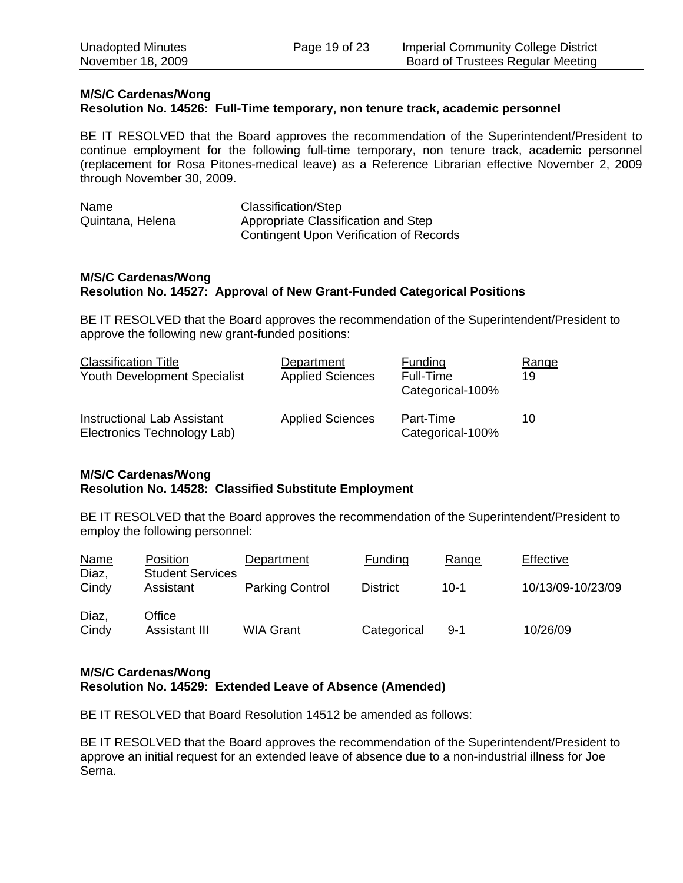## **M/S/C Cardenas/Wong**

#### **Resolution No. 14526: Full-Time temporary, non tenure track, academic personnel**

BE IT RESOLVED that the Board approves the recommendation of the Superintendent/President to continue employment for the following full-time temporary, non tenure track, academic personnel (replacement for Rosa Pitones-medical leave) as a Reference Librarian effective November 2, 2009 through November 30, 2009.

| Name             | Classification/Step                            |
|------------------|------------------------------------------------|
| Quintana, Helena | Appropriate Classification and Step            |
|                  | <b>Contingent Upon Verification of Records</b> |

#### **M/S/C Cardenas/Wong Resolution No. 14527: Approval of New Grant-Funded Categorical Positions**

BE IT RESOLVED that the Board approves the recommendation of the Superintendent/President to approve the following new grant-funded positions:

| <b>Classification Title</b><br><b>Youth Development Specialist</b> | Department<br><b>Applied Sciences</b> | Funding<br>Full-Time<br>Categorical-100% | Range<br>19 |
|--------------------------------------------------------------------|---------------------------------------|------------------------------------------|-------------|
| <b>Instructional Lab Assistant</b><br>Electronics Technology Lab)  | <b>Applied Sciences</b>               | Part-Time<br>Categorical-100%            | 10          |

## **M/S/C Cardenas/Wong Resolution No. 14528: Classified Substitute Employment**

BE IT RESOLVED that the Board approves the recommendation of the Superintendent/President to employ the following personnel:

| <b>Name</b><br>Diaz, | Position<br><b>Student Services</b> | Department             | Funding         | Range    | Effective         |
|----------------------|-------------------------------------|------------------------|-----------------|----------|-------------------|
| Cindy                | Assistant                           | <b>Parking Control</b> | <b>District</b> | $10 - 1$ | 10/13/09-10/23/09 |
| Diaz,<br>Cindy       | Office<br>Assistant III             | <b>WIA Grant</b>       | Categorical     | $9 - 1$  | 10/26/09          |

#### **M/S/C Cardenas/Wong Resolution No. 14529: Extended Leave of Absence (Amended)**

BE IT RESOLVED that Board Resolution 14512 be amended as follows:

BE IT RESOLVED that the Board approves the recommendation of the Superintendent/President to approve an initial request for an extended leave of absence due to a non-industrial illness for Joe Serna.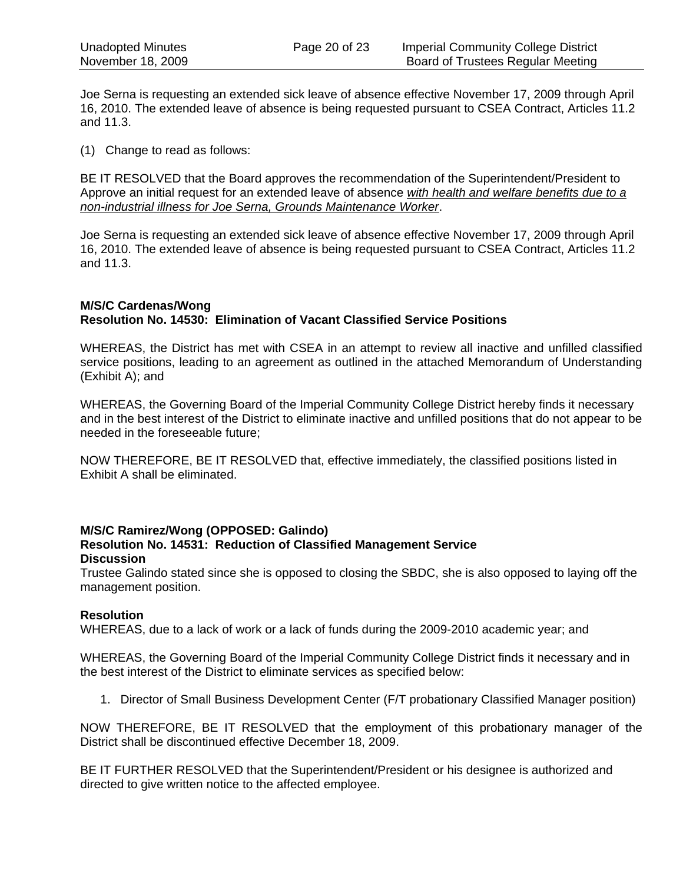Joe Serna is requesting an extended sick leave of absence effective November 17, 2009 through April 16, 2010. The extended leave of absence is being requested pursuant to CSEA Contract, Articles 11.2 and 11.3.

(1) Change to read as follows:

BE IT RESOLVED that the Board approves the recommendation of the Superintendent/President to Approve an initial request for an extended leave of absence *with health and welfare benefits due to a non-industrial illness for Joe Serna, Grounds Maintenance Worker*.

Joe Serna is requesting an extended sick leave of absence effective November 17, 2009 through April 16, 2010. The extended leave of absence is being requested pursuant to CSEA Contract, Articles 11.2 and 11.3.

## **M/S/C Cardenas/Wong Resolution No. 14530: Elimination of Vacant Classified Service Positions**

WHEREAS, the District has met with CSEA in an attempt to review all inactive and unfilled classified service positions, leading to an agreement as outlined in the attached Memorandum of Understanding (Exhibit A); and

WHEREAS, the Governing Board of the Imperial Community College District hereby finds it necessary and in the best interest of the District to eliminate inactive and unfilled positions that do not appear to be needed in the foreseeable future;

NOW THEREFORE, BE IT RESOLVED that, effective immediately, the classified positions listed in Exhibit A shall be eliminated.

#### **M/S/C Ramirez/Wong (OPPOSED: Galindo) Resolution No. 14531: Reduction of Classified Management Service Discussion**

Trustee Galindo stated since she is opposed to closing the SBDC, she is also opposed to laying off the management position.

## **Resolution**

WHEREAS, due to a lack of work or a lack of funds during the 2009-2010 academic year; and

WHEREAS, the Governing Board of the Imperial Community College District finds it necessary and in the best interest of the District to eliminate services as specified below:

1. Director of Small Business Development Center (F/T probationary Classified Manager position)

NOW THEREFORE, BE IT RESOLVED that the employment of this probationary manager of the District shall be discontinued effective December 18, 2009.

BE IT FURTHER RESOLVED that the Superintendent/President or his designee is authorized and directed to give written notice to the affected employee.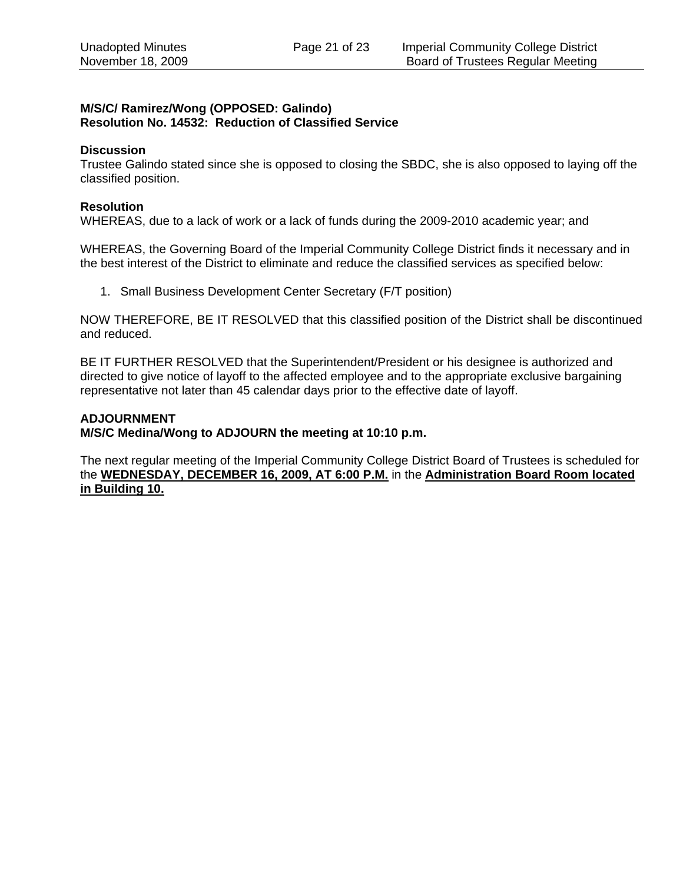#### **M/S/C/ Ramirez/Wong (OPPOSED: Galindo) Resolution No. 14532: Reduction of Classified Service**

#### **Discussion**

Trustee Galindo stated since she is opposed to closing the SBDC, she is also opposed to laying off the classified position.

#### **Resolution**

WHEREAS, due to a lack of work or a lack of funds during the 2009-2010 academic year; and

WHEREAS, the Governing Board of the Imperial Community College District finds it necessary and in the best interest of the District to eliminate and reduce the classified services as specified below:

1. Small Business Development Center Secretary (F/T position)

NOW THEREFORE, BE IT RESOLVED that this classified position of the District shall be discontinued and reduced.

BE IT FURTHER RESOLVED that the Superintendent/President or his designee is authorized and directed to give notice of layoff to the affected employee and to the appropriate exclusive bargaining representative not later than 45 calendar days prior to the effective date of layoff.

#### **ADJOURNMENT**

**M/S/C Medina/Wong to ADJOURN the meeting at 10:10 p.m.** 

The next regular meeting of the Imperial Community College District Board of Trustees is scheduled for the **WEDNESDAY, DECEMBER 16, 2009, AT 6:00 P.M.** in the **Administration Board Room located in Building 10.**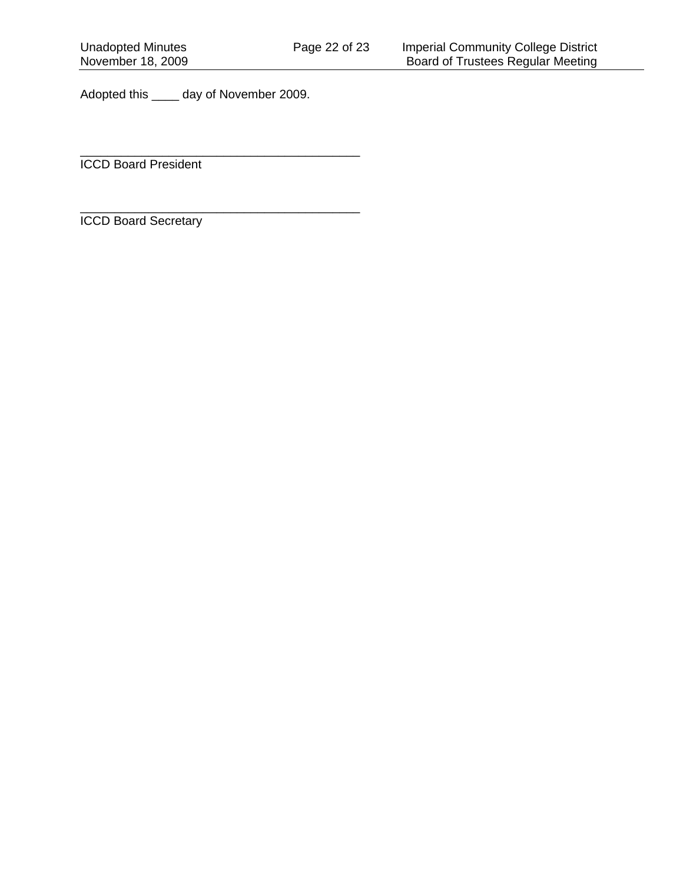Adopted this \_\_\_\_ day of November 2009.

\_\_\_\_\_\_\_\_\_\_\_\_\_\_\_\_\_\_\_\_\_\_\_\_\_\_\_\_\_\_\_\_\_\_\_\_\_\_\_\_\_

\_\_\_\_\_\_\_\_\_\_\_\_\_\_\_\_\_\_\_\_\_\_\_\_\_\_\_\_\_\_\_\_\_\_\_\_\_\_\_\_\_

ICCD Board President

ICCD Board Secretary